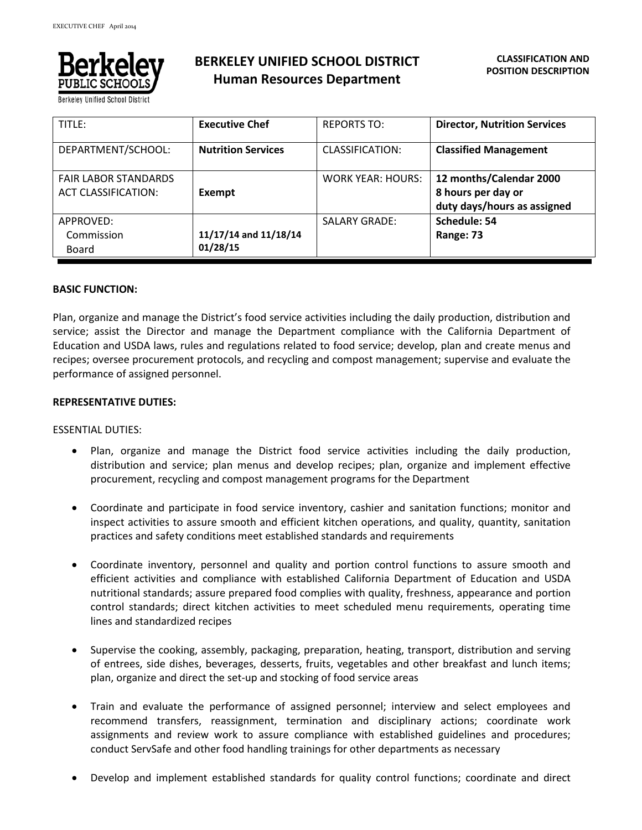

**BERKELEY UNIFIED SCHOOL DISTRICT Human Resources Department**

| TITLE:                                                    | <b>Executive Chef</b>             | <b>REPORTS TO:</b>       | <b>Director, Nutrition Services</b>                                          |
|-----------------------------------------------------------|-----------------------------------|--------------------------|------------------------------------------------------------------------------|
| DEPARTMENT/SCHOOL:                                        | <b>Nutrition Services</b>         | CLASSIFICATION:          | <b>Classified Management</b>                                                 |
| <b>FAIR LABOR STANDARDS</b><br><b>ACT CLASSIFICATION:</b> | Exempt                            | <b>WORK YEAR: HOURS:</b> | 12 months/Calendar 2000<br>8 hours per day or<br>duty days/hours as assigned |
| APPROVED:<br>Commission<br>Board                          | 11/17/14 and 11/18/14<br>01/28/15 | <b>SALARY GRADE:</b>     | Schedule: 54<br>Range: 73                                                    |

### **BASIC FUNCTION:**

Plan, organize and manage the District's food service activities including the daily production, distribution and service; assist the Director and manage the Department compliance with the California Department of Education and USDA laws, rules and regulations related to food service; develop, plan and create menus and recipes; oversee procurement protocols, and recycling and compost management; supervise and evaluate the performance of assigned personnel.

### **REPRESENTATIVE DUTIES:**

#### ESSENTIAL DUTIES:

- Plan, organize and manage the District food service activities including the daily production, distribution and service; plan menus and develop recipes; plan, organize and implement effective procurement, recycling and compost management programs for the Department
- Coordinate and participate in food service inventory, cashier and sanitation functions; monitor and inspect activities to assure smooth and efficient kitchen operations, and quality, quantity, sanitation practices and safety conditions meet established standards and requirements
- Coordinate inventory, personnel and quality and portion control functions to assure smooth and efficient activities and compliance with established California Department of Education and USDA nutritional standards; assure prepared food complies with quality, freshness, appearance and portion control standards; direct kitchen activities to meet scheduled menu requirements, operating time lines and standardized recipes
- Supervise the cooking, assembly, packaging, preparation, heating, transport, distribution and serving of entrees, side dishes, beverages, desserts, fruits, vegetables and other breakfast and lunch items; plan, organize and direct the set-up and stocking of food service areas
- Train and evaluate the performance of assigned personnel; interview and select employees and recommend transfers, reassignment, termination and disciplinary actions; coordinate work assignments and review work to assure compliance with established guidelines and procedures; conduct ServSafe and other food handling trainings for other departments as necessary
- Develop and implement established standards for quality control functions; coordinate and direct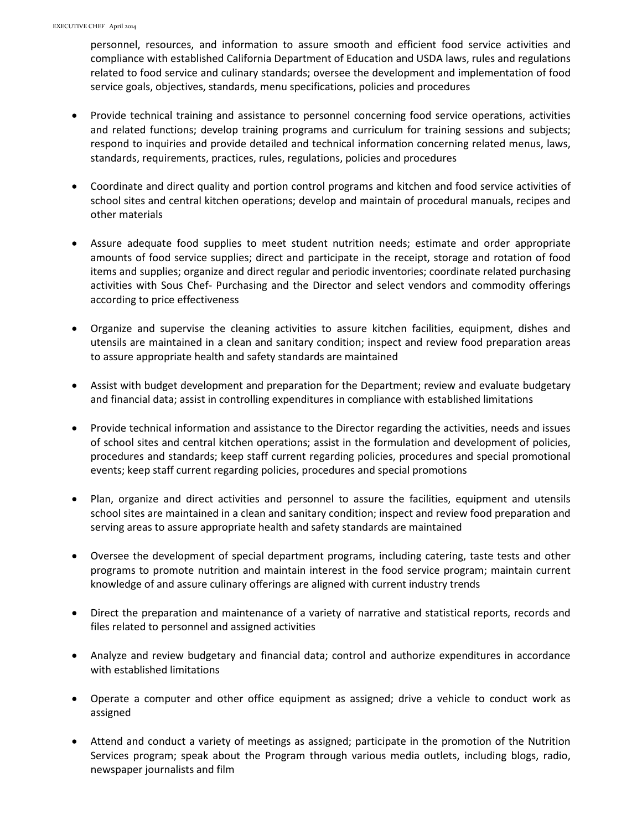personnel, resources, and information to assure smooth and efficient food service activities and compliance with established California Department of Education and USDA laws, rules and regulations related to food service and culinary standards; oversee the development and implementation of food service goals, objectives, standards, menu specifications, policies and procedures

- Provide technical training and assistance to personnel concerning food service operations, activities and related functions; develop training programs and curriculum for training sessions and subjects; respond to inquiries and provide detailed and technical information concerning related menus, laws, standards, requirements, practices, rules, regulations, policies and procedures
- Coordinate and direct quality and portion control programs and kitchen and food service activities of school sites and central kitchen operations; develop and maintain of procedural manuals, recipes and other materials
- Assure adequate food supplies to meet student nutrition needs; estimate and order appropriate amounts of food service supplies; direct and participate in the receipt, storage and rotation of food items and supplies; organize and direct regular and periodic inventories; coordinate related purchasing activities with Sous Chef- Purchasing and the Director and select vendors and commodity offerings according to price effectiveness
- Organize and supervise the cleaning activities to assure kitchen facilities, equipment, dishes and utensils are maintained in a clean and sanitary condition; inspect and review food preparation areas to assure appropriate health and safety standards are maintained
- Assist with budget development and preparation for the Department; review and evaluate budgetary and financial data; assist in controlling expenditures in compliance with established limitations
- Provide technical information and assistance to the Director regarding the activities, needs and issues of school sites and central kitchen operations; assist in the formulation and development of policies, procedures and standards; keep staff current regarding policies, procedures and special promotional events; keep staff current regarding policies, procedures and special promotions
- Plan, organize and direct activities and personnel to assure the facilities, equipment and utensils school sites are maintained in a clean and sanitary condition; inspect and review food preparation and serving areas to assure appropriate health and safety standards are maintained
- Oversee the development of special department programs, including catering, taste tests and other programs to promote nutrition and maintain interest in the food service program; maintain current knowledge of and assure culinary offerings are aligned with current industry trends
- Direct the preparation and maintenance of a variety of narrative and statistical reports, records and files related to personnel and assigned activities
- Analyze and review budgetary and financial data; control and authorize expenditures in accordance with established limitations
- Operate a computer and other office equipment as assigned; drive a vehicle to conduct work as assigned
- Attend and conduct a variety of meetings as assigned; participate in the promotion of the Nutrition Services program; speak about the Program through various media outlets, including blogs, radio, newspaper journalists and film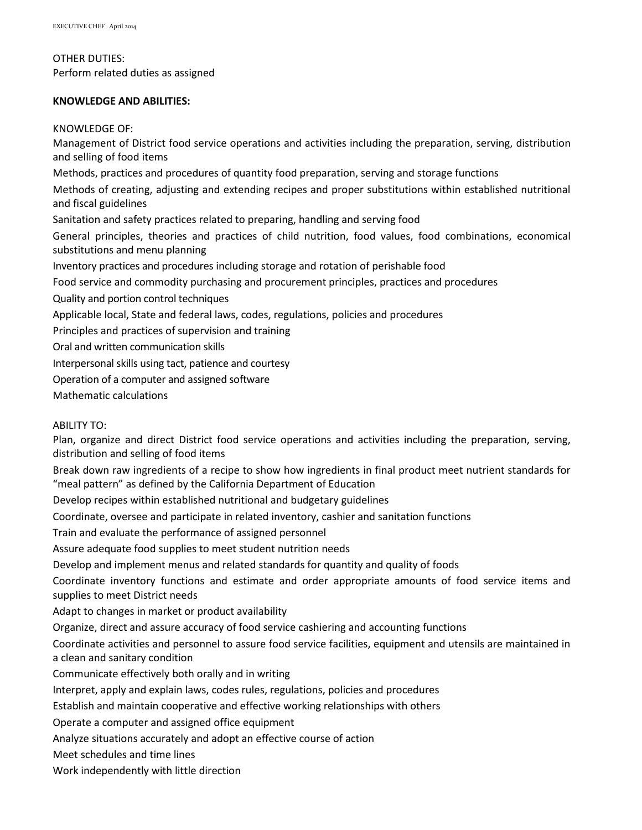#### OTHER DUTIES:

Perform related duties as assigned

# **KNOWLEDGE AND ABILITIES:**

### KNOWLEDGE OF:

Management of District food service operations and activities including the preparation, serving, distribution and selling of food items Methods, practices and procedures of quantity food preparation, serving and storage functions Methods of creating, adjusting and extending recipes and proper substitutions within established nutritional and fiscal guidelines Sanitation and safety practices related to preparing, handling and serving food General principles, theories and practices of child nutrition, food values, food combinations, economical substitutions and menu planning Inventory practices and procedures including storage and rotation of perishable food Food service and commodity purchasing and procurement principles, practices and procedures Quality and portion control techniques Applicable local, State and federal laws, codes, regulations, policies and procedures Principles and practices of supervision and training Oral and written communication skills Interpersonal skills using tact, patience and courtesy Operation of a computer and assigned software Mathematic calculations

# ABILITY TO:

Plan, organize and direct District food service operations and activities including the preparation, serving, distribution and selling of food items

Break down raw ingredients of a recipe to show how ingredients in final product meet nutrient standards for "meal pattern" as defined by the California Department of Education

Develop recipes within established nutritional and budgetary guidelines

Coordinate, oversee and participate in related inventory, cashier and sanitation functions

Train and evaluate the performance of assigned personnel

Assure adequate food supplies to meet student nutrition needs

Develop and implement menus and related standards for quantity and quality of foods

Coordinate inventory functions and estimate and order appropriate amounts of food service items and supplies to meet District needs

Adapt to changes in market or product availability

Organize, direct and assure accuracy of food service cashiering and accounting functions

Coordinate activities and personnel to assure food service facilities, equipment and utensils are maintained in a clean and sanitary condition

Communicate effectively both orally and in writing

Interpret, apply and explain laws, codes rules, regulations, policies and procedures

Establish and maintain cooperative and effective working relationships with others

Operate a computer and assigned office equipment

Analyze situations accurately and adopt an effective course of action

Meet schedules and time lines

Work independently with little direction